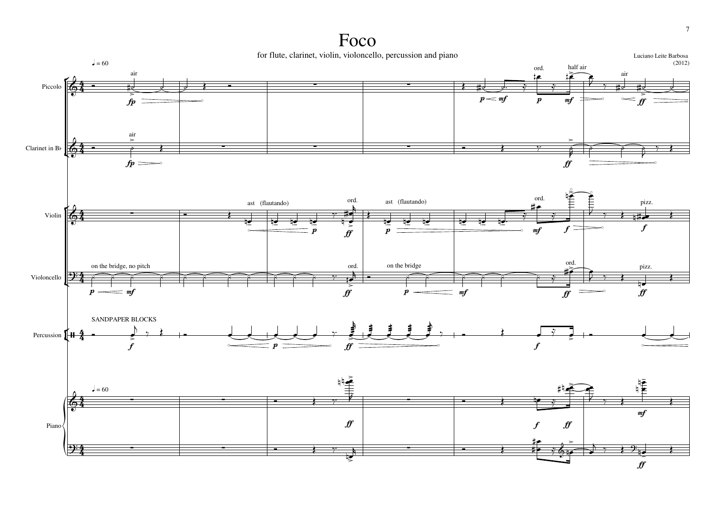## Foco